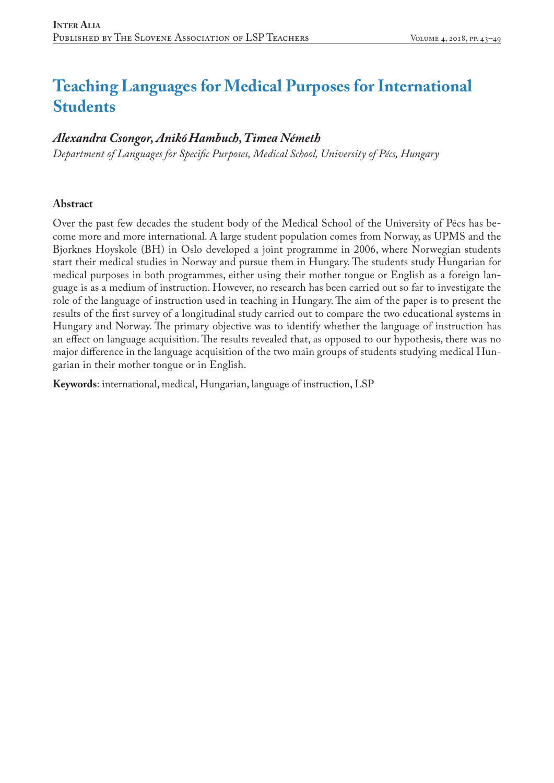# **Teaching Languages for Medical Purposes for International Students**

## *Alexandra Csongor, AnikóHambuch, Timea Németh*

*Department of Languages for Specific Purposes, Medical School, University of Pécs, Hungary*

#### **Abstract**

Over the past few decades the student body of the Medical School of the University of Pécs has become more and more international. A large student population comes from Norway, as UPMS and the Bjorknes Hoyskole (BH) in Oslo developed a joint programme in 2006, where Norwegian students start their medical studies in Norway and pursue them in Hungary. The students study Hungarian for medical purposes in both programmes, either using their mother tongue or English as a foreign language is as a medium of instruction. However, no research has been carried out so far to investigate the role of the language of instruction used in teaching in Hungary. The aim of the paper is to present the results of the first survey of a longitudinal study carried out to compare the two educational systems in Hungary and Norway. The primary objective was to identify whether the language of instruction has an effect on language acquisition. The results revealed that, as opposed to our hypothesis, there was no major difference in the language acquisition of the two main groups of students studying medical Hungarian in their mother tongue or in English.

**Keywords**: international, medical, Hungarian, language of instruction, LSP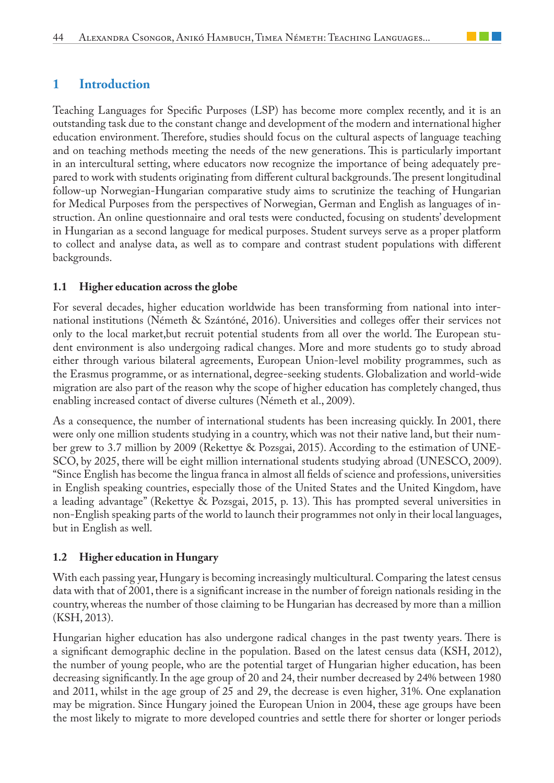### **1 Introduction**

Teaching Languages for Specific Purposes (LSP) has become more complex recently, and it is an outstanding task due to the constant change and development of the modern and international higher education environment. Therefore, studies should focus on the cultural aspects of language teaching and on teaching methods meeting the needs of the new generations. This is particularly important in an intercultural setting, where educators now recognize the importance of being adequately prepared to work with students originating from different cultural backgrounds. The present longitudinal follow-up Norwegian-Hungarian comparative study aims to scrutinize the teaching of Hungarian for Medical Purposes from the perspectives of Norwegian, German and English as languages of instruction. An online questionnaire and oral tests were conducted, focusing on students' development in Hungarian as a second language for medical purposes. Student surveys serve as a proper platform to collect and analyse data, as well as to compare and contrast student populations with different backgrounds.

#### **1.1 Higher education across the globe**

For several decades, higher education worldwide has been transforming from national into international institutions (Németh & Szántóné, 2016). Universities and colleges offer their services not only to the local market,but recruit potential students from all over the world. The European student environment is also undergoing radical changes. More and more students go to study abroad either through various bilateral agreements, European Union-level mobility programmes, such as the Erasmus programme, or as international, degree-seeking students. Globalization and world-wide migration are also part of the reason why the scope of higher education has completely changed, thus enabling increased contact of diverse cultures (Németh et al., 2009).

As a consequence, the number of international students has been increasing quickly. In 2001, there were only one million students studying in a country, which was not their native land, but their number grew to 3.7 million by 2009 (Rekettye & Pozsgai, 2015). According to the estimation of UNE-SCO, by 2025, there will be eight million international students studying abroad (UNESCO, 2009). "Since English has become the lingua franca in almost all fields of science and professions, universities in English speaking countries, especially those of the United States and the United Kingdom, have a leading advantage" (Rekettye & Pozsgai, 2015, p. 13). This has prompted several universities in non-English speaking parts of the world to launch their programmes not only in their local languages, but in English as well.

#### **1.2 Higher education in Hungary**

With each passing year, Hungary is becoming increasingly multicultural. Comparing the latest census data with that of 2001, there is a significant increase in the number of foreign nationals residing in the country, whereas the number of those claiming to be Hungarian has decreased by more than a million (KSH, 2013).

Hungarian higher education has also undergone radical changes in the past twenty years. There is a significant demographic decline in the population. Based on the latest census data (KSH, 2012), the number of young people, who are the potential target of Hungarian higher education, has been decreasing significantly. In the age group of 20 and 24, their number decreased by 24% between 1980 and 2011, whilst in the age group of 25 and 29, the decrease is even higher, 31%. One explanation may be migration. Since Hungary joined the European Union in 2004, these age groups have been the most likely to migrate to more developed countries and settle there for shorter or longer periods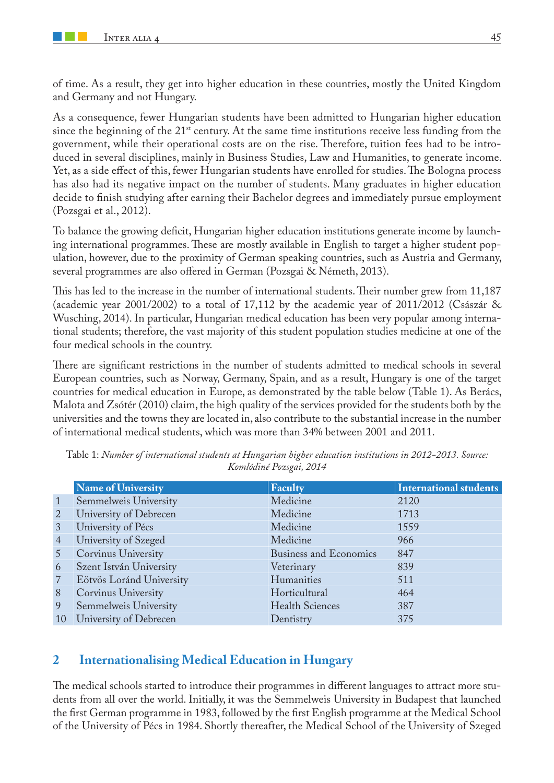of time. As a result, they get into higher education in these countries, mostly the United Kingdom and Germany and not Hungary.

As a consequence, fewer Hungarian students have been admitted to Hungarian higher education since the beginning of the 21<sup>st</sup> century. At the same time institutions receive less funding from the government, while their operational costs are on the rise. Therefore, tuition fees had to be introduced in several disciplines, mainly in Business Studies, Law and Humanities, to generate income. Yet, as a side effect of this, fewer Hungarian students have enrolled for studies. The Bologna process has also had its negative impact on the number of students. Many graduates in higher education decide to finish studying after earning their Bachelor degrees and immediately pursue employment (Pozsgai et al., 2012).

To balance the growing deficit, Hungarian higher education institutions generate income by launching international programmes. These are mostly available in English to target a higher student population, however, due to the proximity of German speaking countries, such as Austria and Germany, several programmes are also offered in German (Pozsgai & Németh, 2013).

This has led to the increase in the number of international students. Their number grew from 11,187 (academic year 2001/2002) to a total of 17,112 by the academic year of 2011/2012 (Császár & Wusching, 2014). In particular, Hungarian medical education has been very popular among international students; therefore, the vast majority of this student population studies medicine at one of the four medical schools in the country.

There are significant restrictions in the number of students admitted to medical schools in several European countries, such as Norway, Germany, Spain, and as a result, Hungary is one of the target countries for medical education in Europe, as demonstrated by the table below (Table 1). As Berács, Malota and Zsótér (2010) claim, the high quality of the services provided for the students both by the universities and the towns they are located in, also contribute to the substantial increase in the number of international medical students, which was more than 34% between 2001 and 2011.

|                | Name of University       | Faculty                       | <b>International students</b> |
|----------------|--------------------------|-------------------------------|-------------------------------|
|                | Semmelweis University    | Medicine                      | 2120                          |
| $\overline{2}$ | University of Debrecen   | Medicine                      | 1713                          |
| 3              | University of Pécs       | Medicine                      | 1559                          |
| $\overline{4}$ | University of Szeged     | Medicine                      | 966                           |
| 5 <sup>1</sup> | Corvinus University      | <b>Business and Economics</b> | 847                           |
| 6              | Szent István University  | Veterinary                    | 839                           |
| $\overline{7}$ | Eötvös Loránd University | Humanities                    | 511                           |
| 8              | Corvinus University      | Horticultural                 | 464                           |
| 9              | Semmelweis University    | <b>Health Sciences</b>        | 387                           |
| 10             | University of Debrecen   | Dentistry                     | 375                           |

Table 1: *Number of international students at Hungarian higher education institutions in 2012-2013. Source: Komlódiné Pozsgai, 2014*

## **2 Internationalising Medical Education in Hungary**

The medical schools started to introduce their programmes in different languages to attract more students from all over the world. Initially, it was the Semmelweis University in Budapest that launched the first German programme in 1983, followed by the first English programme at the Medical School of the University of Pécs in 1984. Shortly thereafter, the Medical School of the University of Szeged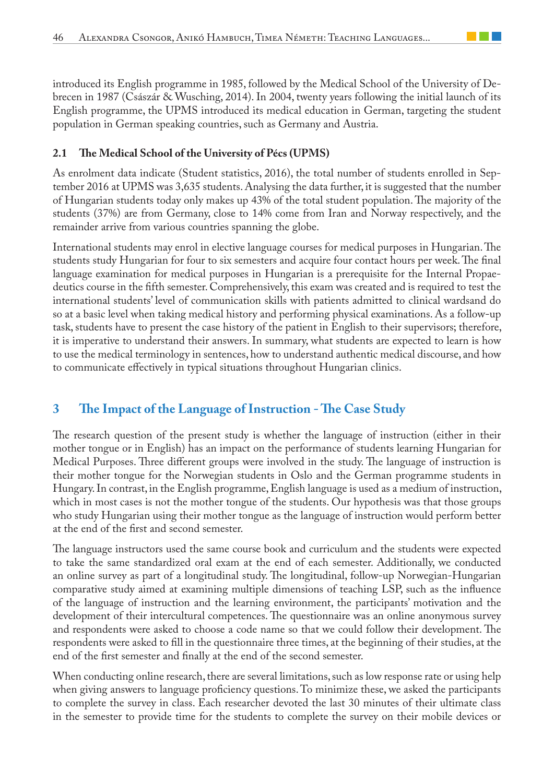introduced its English programme in 1985, followed by the Medical School of the University of Debrecen in 1987 (Császár & Wusching, 2014). In 2004, twenty years following the initial launch of its English programme, the UPMS introduced its medical education in German, targeting the student population in German speaking countries, such as Germany and Austria.

### **2.1 The Medical School of the University of Pécs (UPMS)**

As enrolment data indicate (Student statistics, 2016), the total number of students enrolled in September 2016 at UPMS was 3,635 students. Analysing the data further, it is suggested that the number of Hungarian students today only makes up 43% of the total student population. The majority of the students (37%) are from Germany, close to 14% come from Iran and Norway respectively, and the remainder arrive from various countries spanning the globe.

International students may enrol in elective language courses for medical purposes in Hungarian. The students study Hungarian for four to six semesters and acquire four contact hours per week. The final language examination for medical purposes in Hungarian is a prerequisite for the Internal Propaedeutics course in the fifth semester. Comprehensively, this exam was created and is required to test the international students' level of communication skills with patients admitted to clinical wardsand do so at a basic level when taking medical history and performing physical examinations. As a follow-up task, students have to present the case history of the patient in English to their supervisors; therefore, it is imperative to understand their answers. In summary, what students are expected to learn is how to use the medical terminology in sentences, how to understand authentic medical discourse, and how to communicate effectively in typical situations throughout Hungarian clinics.

## **3 The Impact of the Language of Instruction - The Case Study**

The research question of the present study is whether the language of instruction (either in their mother tongue or in English) has an impact on the performance of students learning Hungarian for Medical Purposes. Three different groups were involved in the study. The language of instruction is their mother tongue for the Norwegian students in Oslo and the German programme students in Hungary. In contrast, in the English programme, English language is used as a medium of instruction, which in most cases is not the mother tongue of the students. Our hypothesis was that those groups who study Hungarian using their mother tongue as the language of instruction would perform better at the end of the first and second semester.

The language instructors used the same course book and curriculum and the students were expected to take the same standardized oral exam at the end of each semester. Additionally, we conducted an online survey as part of a longitudinal study. The longitudinal, follow-up Norwegian-Hungarian comparative study aimed at examining multiple dimensions of teaching LSP, such as the influence of the language of instruction and the learning environment, the participants' motivation and the development of their intercultural competences. The questionnaire was an online anonymous survey and respondents were asked to choose a code name so that we could follow their development. The respondents were asked to fill in the questionnaire three times, at the beginning of their studies, at the end of the first semester and finally at the end of the second semester.

When conducting online research, there are several limitations, such as low response rate or using help when giving answers to language proficiency questions. To minimize these, we asked the participants to complete the survey in class. Each researcher devoted the last 30 minutes of their ultimate class in the semester to provide time for the students to complete the survey on their mobile devices or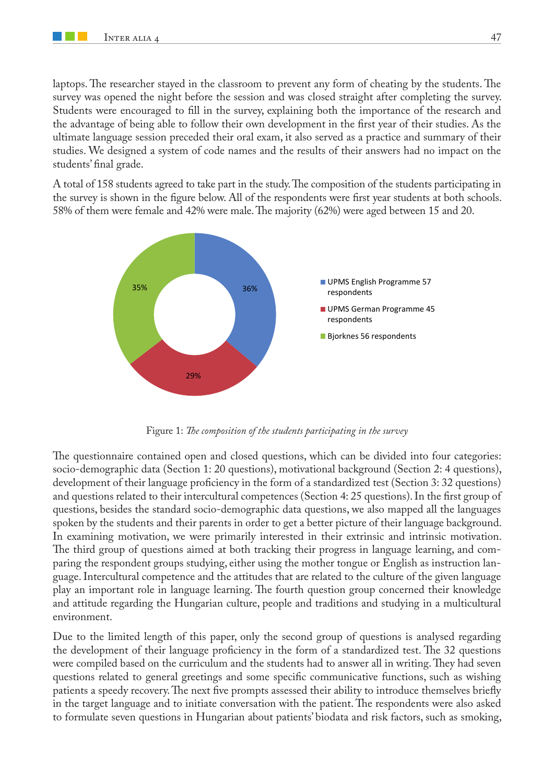laptops. The researcher stayed in the classroom to prevent any form of cheating by the students. The survey was opened the night before the session and was closed straight after completing the survey. Students were encouraged to fill in the survey, explaining both the importance of the research and the advantage of being able to follow their own development in the first year of their studies. As the ultimate language session preceded their oral exam, it also served as a practice and summary of their studies. We designed a system of code names and the results of their answers had no impact on the students' final grade.

A total of 158 students agreed to take part in the study. The composition of the students participating in the survey is shown in the figure below. All of the respondents were first year students at both schools. 58% of them were female and 42% were male. The majority (62%) were aged between 15 and 20.



Figure 1: *The composition of the students participating in the survey*

The questionnaire contained open and closed questions, which can be divided into four categories: socio-demographic data (Section 1: 20 questions), motivational background (Section 2: 4 questions), development of their language proficiency in the form of a standardized test (Section 3: 32 questions) and questions related to their intercultural competences (Section 4: 25 questions). In the first group of questions, besides the standard socio-demographic data questions, we also mapped all the languages spoken by the students and their parents in order to get a better picture of their language background. In examining motivation, we were primarily interested in their extrinsic and intrinsic motivation. The third group of questions aimed at both tracking their progress in language learning, and comparing the respondent groups studying, either using the mother tongue or English as instruction language. Intercultural competence and the attitudes that are related to the culture of the given language play an important role in language learning. The fourth question group concerned their knowledge and attitude regarding the Hungarian culture, people and traditions and studying in a multicultural environment.

Due to the limited length of this paper, only the second group of questions is analysed regarding the development of their language proficiency in the form of a standardized test. The 32 questions were compiled based on the curriculum and the students had to answer all in writing. They had seven questions related to general greetings and some specific communicative functions, such as wishing patients a speedy recovery. The next five prompts assessed their ability to introduce themselves briefly in the target language and to initiate conversation with the patient. The respondents were also asked to formulate seven questions in Hungarian about patients' biodata and risk factors, such as smoking,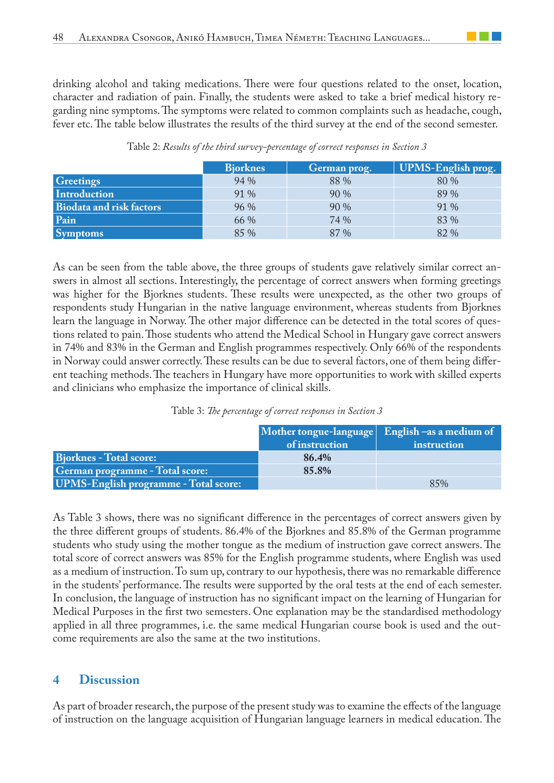drinking alcohol and taking medications. There were four questions related to the onset, location, character and radiation of pain. Finally, the students were asked to take a brief medical history regarding nine symptoms. The symptoms were related to common complaints such as headache, cough, fever etc. The table below illustrates the results of the third survey at the end of the second semester.

|                                 | <b>Biorknes</b> | German prog. | UPMS-English prog. |
|---------------------------------|-----------------|--------------|--------------------|
| <b>Greetings</b>                | 94 %            | 88 %         | 80 %               |
| <b>Introduction</b>             | 91 %            | 90 %         | 89 %               |
| <b>Biodata and risk factors</b> | 96 %            | 90 %         | 91 %               |
| Pain                            | 66 %            | 74 %         | 83 %               |
| <b>Symptoms</b>                 | 85 %            | 87 %         | 82 %               |

Table 2: *Results of the third survey-percentage of correct responses in Section 3*

As can be seen from the table above, the three groups of students gave relatively similar correct answers in almost all sections. Interestingly, the percentage of correct answers when forming greetings was higher for the Bjorknes students. These results were unexpected, as the other two groups of respondents study Hungarian in the native language environment, whereas students from Bjorknes learn the language in Norway. The other major difference can be detected in the total scores of questions related to pain. Those students who attend the Medical School in Hungary gave correct answers in 74% and 83% in the German and English programmes respectively. Only 66% of the respondents in Norway could answer correctly. These results can be due to several factors, one of them being different teaching methods. The teachers in Hungary have more opportunities to work with skilled experts and clinicians who emphasize the importance of clinical skills.

|  |  | Table 3: The percentage of correct responses in Section 3 |  |  |  |
|--|--|-----------------------------------------------------------|--|--|--|
|--|--|-----------------------------------------------------------|--|--|--|

|                                              | of instruction | Mother tongue-language $ $ English $-$ as a medium of<br>instruction |
|----------------------------------------------|----------------|----------------------------------------------------------------------|
| <b>Bjorknes</b> - Total score:               | 86.4%          |                                                                      |
| German programme - Total score:              | 85.8%          |                                                                      |
| <b>UPMS-English programme - Total score:</b> |                | 85%                                                                  |

As Table 3 shows, there was no significant difference in the percentages of correct answers given by the three different groups of students. 86.4% of the Bjorknes and 85.8% of the German programme students who study using the mother tongue as the medium of instruction gave correct answers. The total score of correct answers was 85% for the English programme students, where English was used as a medium of instruction. To sum up, contrary to our hypothesis, there was no remarkable difference in the students' performance. The results were supported by the oral tests at the end of each semester. In conclusion, the language of instruction has no significant impact on the learning of Hungarian for Medical Purposes in the first two semesters. One explanation may be the standardised methodology applied in all three programmes, i.e. the same medical Hungarian course book is used and the outcome requirements are also the same at the two institutions.

## **4 Discussion**

As part of broader research, the purpose of the present study was to examine the effects of the language of instruction on the language acquisition of Hungarian language learners in medical education. The